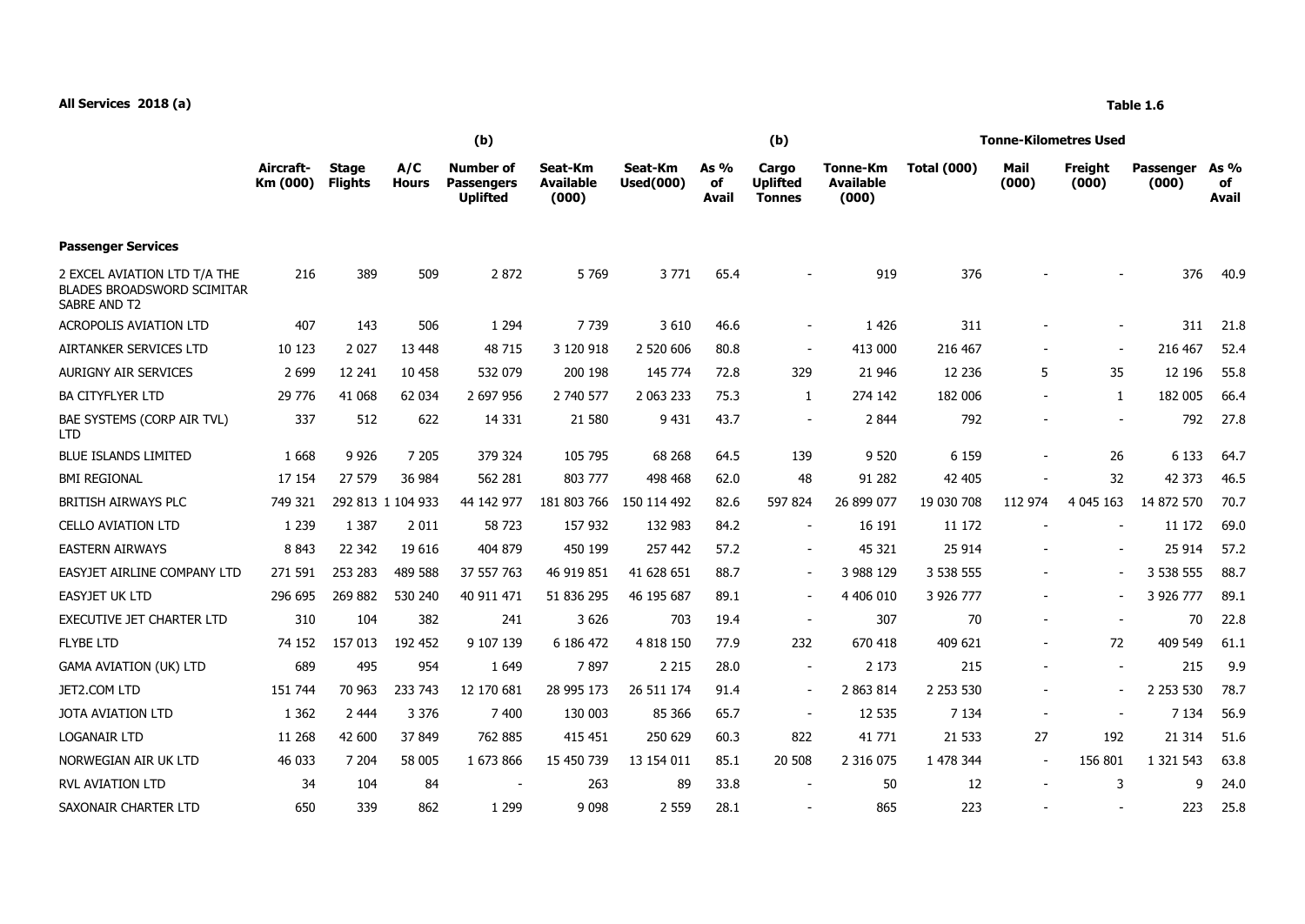## **All Services 2018 (a) Table 1.6**

|                                                                            | (b)                   |                                |                     |                                                          |                                      |                             |                            | (b)                                       |                                              | <b>Tonne-Kilometres Used</b> |                          |                  |                           |                            |  |
|----------------------------------------------------------------------------|-----------------------|--------------------------------|---------------------|----------------------------------------------------------|--------------------------------------|-----------------------------|----------------------------|-------------------------------------------|----------------------------------------------|------------------------------|--------------------------|------------------|---------------------------|----------------------------|--|
|                                                                            | Aircraft-<br>Km (000) | <b>Stage</b><br><b>Flights</b> | A/C<br><b>Hours</b> | <b>Number of</b><br><b>Passengers</b><br><b>Uplifted</b> | Seat-Km<br><b>Available</b><br>(000) | Seat-Km<br><b>Used(000)</b> | As %<br>оf<br><b>Avail</b> | Cargo<br><b>Uplifted</b><br><b>Tonnes</b> | <b>Tonne-Km</b><br><b>Available</b><br>(000) | <b>Total (000)</b>           | Mail<br>(000)            | Freight<br>(000) | <b>Passenger</b><br>(000) | As %<br>of<br><b>Avail</b> |  |
| <b>Passenger Services</b>                                                  |                       |                                |                     |                                                          |                                      |                             |                            |                                           |                                              |                              |                          |                  |                           |                            |  |
| 2 EXCEL AVIATION LTD T/A THE<br>BLADES BROADSWORD SCIMITAR<br>SABRE AND T2 | 216                   | 389                            | 509                 | 2872                                                     | 5769                                 | 3771                        | 65.4                       |                                           | 919                                          | 376                          |                          |                  | 376                       | 40.9                       |  |
| <b>ACROPOLIS AVIATION LTD</b>                                              | 407                   | 143                            | 506                 | 1 2 9 4                                                  | 7 7 3 9                              | 3 6 1 0                     | 46.6                       | $\sim$                                    | 1 4 2 6                                      | 311                          |                          |                  | 311                       | 21.8                       |  |
| AIRTANKER SERVICES LTD                                                     | 10 123                | 2 0 2 7                        | 13 4 48             | 48 715                                                   | 3 120 918                            | 2 520 606                   | 80.8                       | $\overline{\phantom{a}}$                  | 413 000                                      | 216 467                      |                          | $\blacksquare$   | 216 467                   | 52.4                       |  |
| <b>AURIGNY AIR SERVICES</b>                                                | 2 6 9 9               | 12 241                         | 10 458              | 532 079                                                  | 200 198                              | 145 774                     | 72.8                       | 329                                       | 21 946                                       | 12 2 36                      | 5                        | 35               | 12 196                    | 55.8                       |  |
| <b>BA CITYFLYER LTD</b>                                                    | 29 776                | 41 068                         | 62 034              | 2 697 956                                                | 2 740 577                            | 2 063 233                   | 75.3                       | 1                                         | 274 142                                      | 182 006                      | $\blacksquare$           | $\mathbf{1}$     | 182 005                   | 66.4                       |  |
| BAE SYSTEMS (CORP AIR TVL)<br>I TD.                                        | 337                   | 512                            | 622                 | 14 3 31                                                  | 21 580                               | 9 4 31                      | 43.7                       | $\sim$                                    | 2 8 4 4                                      | 792                          |                          |                  | 792                       | 27.8                       |  |
| <b>BLUE ISLANDS LIMITED</b>                                                | 1 6 6 8               | 9 9 2 6                        | 7 2 0 5             | 379 324                                                  | 105 795                              | 68 268                      | 64.5                       | 139                                       | 9 5 20                                       | 6 1 5 9                      |                          | 26               | 6 1 3 3                   | 64.7                       |  |
| <b>BMI REGIONAL</b>                                                        | 17 154                | 27 579                         | 36 984              | 562 281                                                  | 803 777                              | 498 468                     | 62.0                       | 48                                        | 91 282                                       | 42 405                       |                          | 32               | 42 373                    | 46.5                       |  |
| BRITISH AIRWAYS PLC                                                        | 749 321               |                                | 292 813 1 104 933   | 44 142 977                                               | 181 803 766                          | 150 114 492                 | 82.6                       | 597 824                                   | 26 899 077                                   | 19 030 708                   | 112 974                  | 4 0 4 5 1 6 3    | 14 872 570                | 70.7                       |  |
| <b>CELLO AVIATION LTD</b>                                                  | 1 2 3 9               | 1 3 8 7                        | 2 0 1 1             | 58 723                                                   | 157 932                              | 132 983                     | 84.2                       | $\overline{\phantom{a}}$                  | 16 191                                       | 11 172                       |                          |                  | 11 172                    | 69.0                       |  |
| <b>EASTERN AIRWAYS</b>                                                     | 8 8 4 3               | 22 342                         | 19 6 16             | 404 879                                                  | 450 199                              | 257 442                     | 57.2                       | $\blacksquare$                            | 45 321                                       | 25 9 14                      |                          |                  | 25 914                    | 57.2                       |  |
| EASYJET AIRLINE COMPANY LTD                                                | 271 591               | 253 283                        | 489 588             | 37 557 763                                               | 46 919 851                           | 41 628 651                  | 88.7                       | $\sim$                                    | 3 988 129                                    | 3 538 555                    |                          |                  | 3 538 555                 | 88.7                       |  |
| <b>EASYJET UK LTD</b>                                                      | 296 695               | 269 882                        | 530 240             | 40 911 471                                               | 51 836 295                           | 46 195 687                  | 89.1                       | $\overline{\phantom{a}}$                  | 4 406 010                                    | 3 926 777                    | $\overline{\phantom{a}}$ |                  | 3 926 777                 | 89.1                       |  |
| <b>EXECUTIVE JET CHARTER LTD</b>                                           | 310                   | 104                            | 382                 | 241                                                      | 3 6 2 6                              | 703                         | 19.4                       | $\overline{\phantom{a}}$                  | 307                                          | 70                           |                          |                  | 70                        | 22.8                       |  |
| <b>FLYBE LTD</b>                                                           | 74 152                | 157 013                        | 192 452             | 9 107 139                                                | 6 186 472                            | 4 818 150                   | 77.9                       | 232                                       | 670 418                                      | 409 621                      | $\overline{\phantom{a}}$ | 72               | 409 549                   | 61.1                       |  |
| <b>GAMA AVIATION (UK) LTD</b>                                              | 689                   | 495                            | 954                 | 1 6 4 9                                                  | 7897                                 | 2 2 1 5                     | 28.0                       | $\overline{\phantom{a}}$                  | 2 1 7 3                                      | 215                          | $\overline{\phantom{a}}$ | $\blacksquare$   | 215                       | 9.9                        |  |
| JET2.COM LTD                                                               | 151 744               | 70 963                         | 233 743             | 12 170 681                                               | 28 995 173                           | 26 511 174                  | 91.4                       | $\sim$                                    | 2 863 814                                    | 2 2 5 3 5 3 0                | $\sim$                   |                  | 2 2 5 3 5 3 0             | 78.7                       |  |
| <b>JOTA AVIATION LTD</b>                                                   | 1 3 6 2               | 2 4 4 4                        | 3 3 7 6             | 7 400                                                    | 130 003                              | 85 366                      | 65.7                       | $\sim$                                    | 12 535                                       | 7 1 3 4                      | $\sim$                   |                  | 7 1 3 4                   | 56.9                       |  |
| <b>LOGANAIR LTD</b>                                                        | 11 268                | 42 600                         | 37 849              | 762 885                                                  | 415 451                              | 250 629                     | 60.3                       | 822                                       | 41 771                                       | 21 5 33                      | 27                       | 192              | 21 314                    | 51.6                       |  |
| NORWEGIAN AIR UK LTD                                                       | 46 033                | 7 204                          | 58 005              | 1 673 866                                                | 15 450 739                           | 13 154 011                  | 85.1                       | 20 508                                    | 2 3 1 6 0 7 5                                | 1 478 344                    | $\overline{\phantom{a}}$ | 156 801          | 1 321 543                 | 63.8                       |  |
| <b>RVL AVIATION LTD</b>                                                    | 34                    | 104                            | 84                  |                                                          | 263                                  | 89                          | 33.8                       | $\overline{\phantom{a}}$                  | 50                                           | 12                           |                          | 3                | 9                         | 24.0                       |  |
| SAXONAIR CHARTER LTD                                                       | 650                   | 339                            | 862                 | 1 2 9 9                                                  | 9098                                 | 2 5 5 9                     | 28.1                       |                                           | 865                                          | 223                          |                          |                  | 223                       | 25.8                       |  |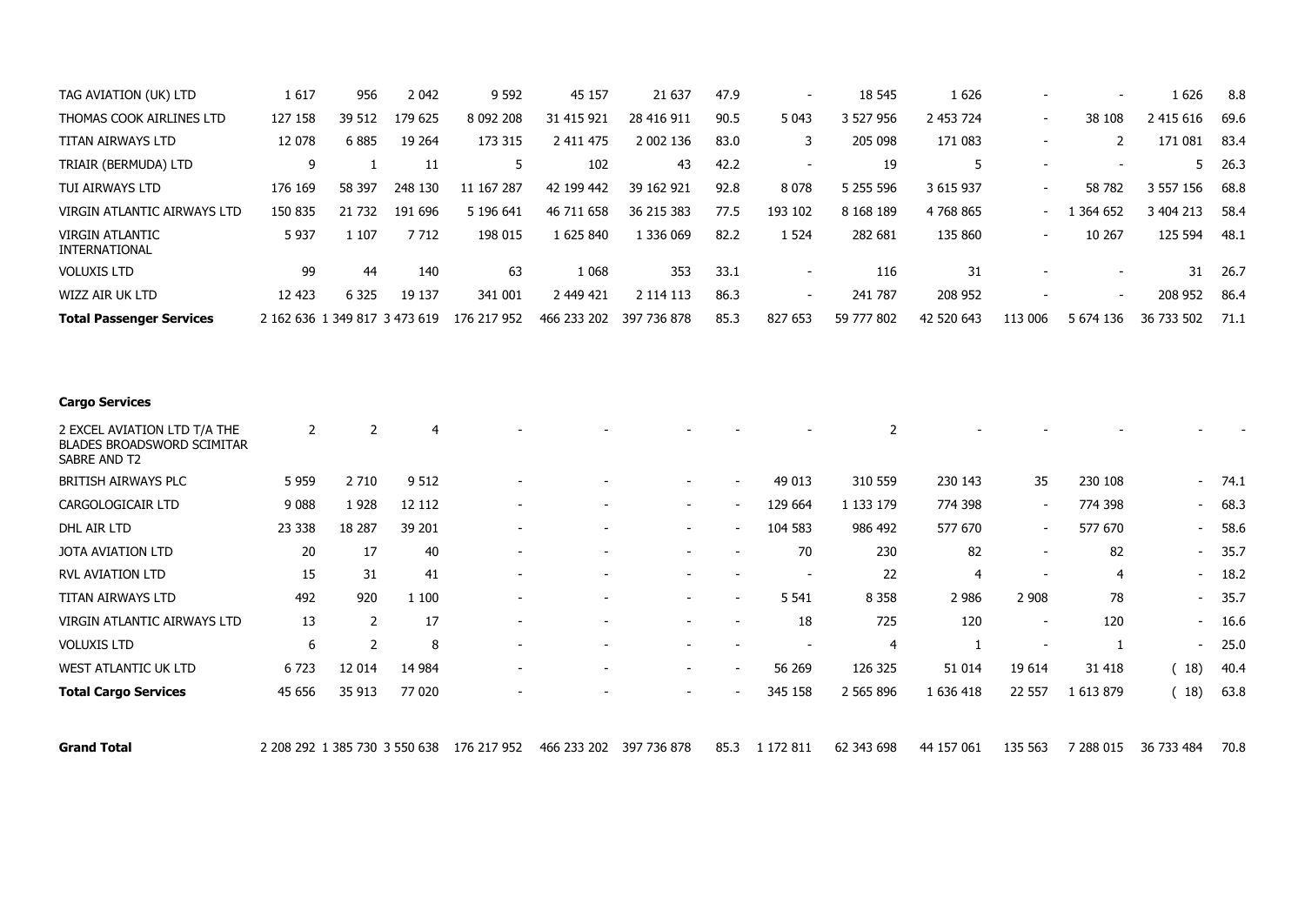| TAG AVIATION (UK) LTD                                                             | 1617                                      | 956            | 2 0 4 2        | 9 5 9 2     | 45 157      | 21 637      | 47.9                     |                | 18 545         | 1 6 2 6        |                          |                          | 1626       | 8.8  |
|-----------------------------------------------------------------------------------|-------------------------------------------|----------------|----------------|-------------|-------------|-------------|--------------------------|----------------|----------------|----------------|--------------------------|--------------------------|------------|------|
| THOMAS COOK AIRLINES LTD                                                          | 127 158                                   | 39 512         | 179 625        | 8 092 208   | 31 415 921  | 28 416 911  | 90.5                     | 5 0 4 3        | 3 527 956      | 2 453 724      | $\overline{\phantom{0}}$ | 38 108                   | 2 415 616  | 69.6 |
| <b>TITAN AIRWAYS LTD</b>                                                          | 12 078                                    | 6885           | 19 264         | 173 315     | 2 411 475   | 2 002 136   | 83.0                     | 3              | 205 098        | 171 083        | $\overline{\phantom{a}}$ | $\overline{2}$           | 171 081    | 83.4 |
| TRIAIR (BERMUDA) LTD                                                              | 9                                         | $\mathbf{1}$   | 11             | 5           | 102         | 43          | 42.2                     | $\sim$         | 19             | 5              |                          |                          | 5          | 26.3 |
| TUI AIRWAYS LTD                                                                   | 176 169                                   | 58 397         | 248 130        | 11 167 287  | 42 199 442  | 39 162 921  | 92.8                     | 8 0 7 8        | 5 255 596      | 3 615 937      | $\blacksquare$           | 58 782                   | 3 557 156  | 68.8 |
| VIRGIN ATLANTIC AIRWAYS LTD                                                       | 150 835                                   | 21 732         | 191 696        | 5 196 641   | 46 711 658  | 36 215 383  | 77.5                     | 193 102        | 8 168 189      | 4768865        | $\overline{\phantom{0}}$ | 1 364 652                | 3 404 213  | 58.4 |
| <b>VIRGIN ATLANTIC</b><br>INTERNATIONAL                                           | 5 9 3 7                                   | 1 1 0 7        | 7712           | 198 015     | 1 625 840   | 1 336 069   | 82.2                     | 1 5 2 4        | 282 681        | 135 860        | $\overline{\phantom{a}}$ | 10 267                   | 125 594    | 48.1 |
| <b>VOLUXIS LTD</b>                                                                | 99                                        | 44             | 140            | 63          | 1 0 6 8     | 353         | 33.1                     | $\sim$         | 116            | 31             | $\blacksquare$           | $\overline{\phantom{a}}$ | 31         | 26.7 |
| WIZZ AIR UK LTD                                                                   | 12 423                                    | 6 3 2 5        | 19 137         | 341 001     | 2 449 421   | 2 114 113   | 86.3                     |                | 241 787        | 208 952        |                          |                          | 208 952    | 86.4 |
| <b>Total Passenger Services</b>                                                   | 2 162 636 1 349 817 3 473 619             |                |                | 176 217 952 | 466 233 202 | 397 736 878 | 85.3                     | 827 653        | 59 777 802     | 42 520 643     | 113 006                  | 5 674 136                | 36 733 502 | 71.1 |
|                                                                                   |                                           |                |                |             |             |             |                          |                |                |                |                          |                          |            |      |
| <b>Cargo Services</b>                                                             |                                           |                |                |             |             |             |                          |                |                |                |                          |                          |            |      |
|                                                                                   |                                           |                |                |             |             |             |                          |                |                |                |                          |                          |            |      |
| 2 EXCEL AVIATION LTD T/A THE<br><b>BLADES BROADSWORD SCIMITAR</b><br>SABRE AND T2 | 2                                         | 2              | $\overline{4}$ |             |             |             |                          |                | $\overline{2}$ |                |                          |                          |            |      |
| BRITISH AIRWAYS PLC                                                               | 5 9 5 9                                   | 2 7 10         | 9 5 12         |             |             |             | $\overline{\phantom{a}}$ | 49 013         | 310 559        | 230 143        | 35                       | 230 108                  |            | 74.1 |
| CARGOLOGICAIR LTD                                                                 | 9 0 8 8                                   | 1928           | 12 112         |             |             |             | $\sim$                   | 129 664        | 1 1 3 1 1 7 9  | 774 398        | $\overline{\phantom{a}}$ | 774 398                  |            | 68.3 |
| DHL AIR LTD                                                                       | 23 338                                    | 18 287         | 39 201         |             |             |             |                          | 104 583        | 986 492        | 577 670        | $\blacksquare$           | 577 670                  |            | 58.6 |
| JOTA AVIATION LTD                                                                 | 20                                        | 17             | 40             |             |             |             |                          | 70             | 230            | 82             |                          | 82                       |            | 35.7 |
| <b>RVL AVIATION LTD</b>                                                           | 15                                        | 31             | 41             |             |             |             |                          | $\blacksquare$ | 22             | $\overline{4}$ |                          | $\overline{4}$           |            | 18.2 |
| <b>TITAN AIRWAYS LTD</b>                                                          | 492                                       | 920            | 1 100          |             |             |             |                          | 5 5 4 1        | 8 3 5 8        | 2 9 8 6        | 2 9 0 8                  | 78                       |            | 35.7 |
| VIRGIN ATLANTIC AIRWAYS LTD                                                       | 13                                        | $\overline{2}$ | 17             |             |             |             |                          | 18             | 725            | 120            | $\overline{\phantom{a}}$ | 120                      |            | 16.6 |
| <b>VOLUXIS LTD</b>                                                                | 6                                         | 2              | 8              |             |             |             |                          | $\sim$         | 4              | 1              | $\overline{\phantom{a}}$ | 1                        |            | 25.0 |
| <b>WEST ATLANTIC UK LTD</b>                                                       | 6723                                      | 12 014         | 14 984         |             |             |             |                          | 56 269         | 126 325        | 51 014         | 19 6 14                  | 31 418                   | (18)       | 40.4 |
| <b>Total Cargo Services</b>                                                       | 45 656                                    | 35 913         | 77 020         |             |             |             |                          | 345 158        | 2 565 896      | 1 636 418      | 22 557                   | 1 613 879                | (18)       | 63.8 |
| <b>Grand Total</b>                                                                | 2 208 292 1 385 730 3 550 638 176 217 952 |                |                | 466 233 202 | 397 736 878 | 85.3        | 1 172 811                | 62 343 698     | 44 157 061     | 135 563        | 7 288 015                | 36 733 484               | 70.8       |      |